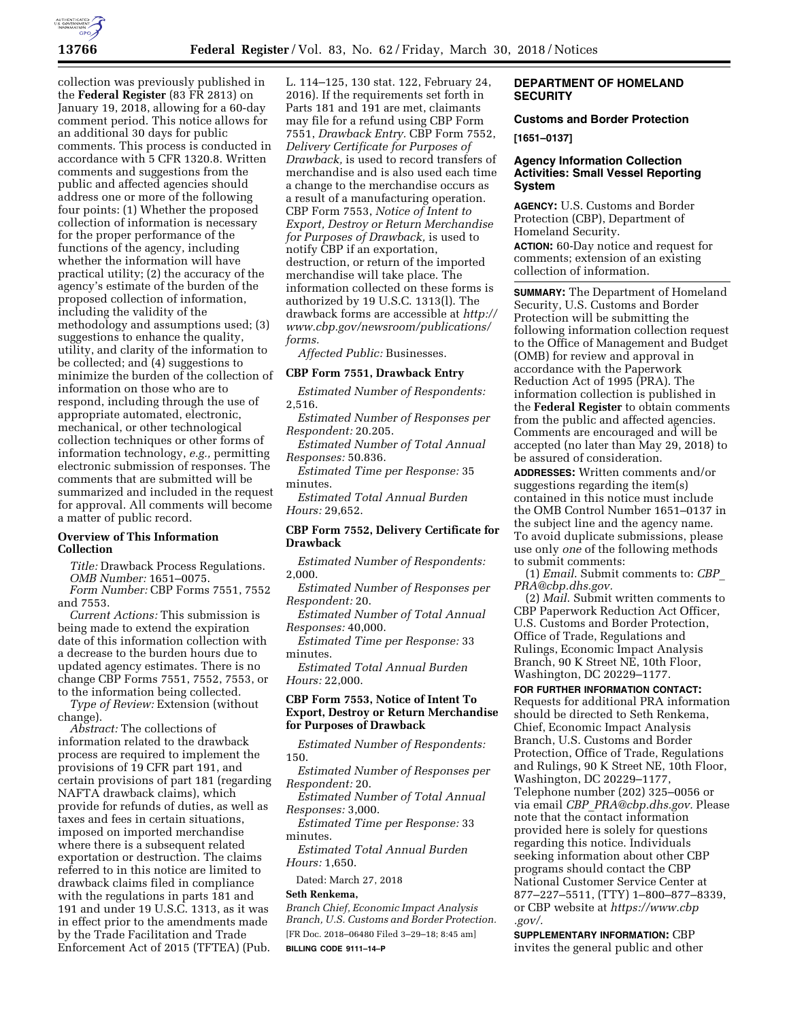

collection was previously published in the **Federal Register** (83 FR 2813) on January 19, 2018, allowing for a 60-day comment period. This notice allows for an additional 30 days for public comments. This process is conducted in accordance with 5 CFR 1320.8. Written comments and suggestions from the public and affected agencies should address one or more of the following four points: (1) Whether the proposed collection of information is necessary for the proper performance of the functions of the agency, including whether the information will have practical utility; (2) the accuracy of the agency's estimate of the burden of the proposed collection of information, including the validity of the methodology and assumptions used; (3) suggestions to enhance the quality, utility, and clarity of the information to be collected; and (4) suggestions to minimize the burden of the collection of information on those who are to respond, including through the use of appropriate automated, electronic, mechanical, or other technological collection techniques or other forms of information technology, *e.g.,* permitting electronic submission of responses. The comments that are submitted will be summarized and included in the request for approval. All comments will become a matter of public record.

## **Overview of This Information Collection**

*Title:* Drawback Process Regulations. *OMB Number:* 1651–0075.

*Form Number:* CBP Forms 7551, 7552 and 7553.

*Current Actions:* This submission is being made to extend the expiration date of this information collection with a decrease to the burden hours due to updated agency estimates. There is no change CBP Forms 7551, 7552, 7553, or to the information being collected.

*Type of Review:* Extension (without change).

*Abstract:* The collections of information related to the drawback process are required to implement the provisions of 19 CFR part 191, and certain provisions of part 181 (regarding NAFTA drawback claims), which provide for refunds of duties, as well as taxes and fees in certain situations, imposed on imported merchandise where there is a subsequent related exportation or destruction. The claims referred to in this notice are limited to drawback claims filed in compliance with the regulations in parts 181 and 191 and under 19 U.S.C. 1313, as it was in effect prior to the amendments made by the Trade Facilitation and Trade Enforcement Act of 2015 (TFTEA) (Pub.

L. 114–125, 130 stat. 122, February 24, 2016). If the requirements set forth in Parts 181 and 191 are met, claimants may file for a refund using CBP Form 7551, *Drawback Entry.* CBP Form 7552, *Delivery Certificate for Purposes of Drawback,* is used to record transfers of merchandise and is also used each time a change to the merchandise occurs as a result of a manufacturing operation. CBP Form 7553, *Notice of Intent to Export, Destroy or Return Merchandise for Purposes of Drawback,* is used to notify CBP if an exportation, destruction, or return of the imported merchandise will take place. The information collected on these forms is authorized by 19 U.S.C. 1313(l). The drawback forms are accessible at *[http://](http://www.cbp.gov/newsroom/publications/forms)  [www.cbp.gov/newsroom/publications/](http://www.cbp.gov/newsroom/publications/forms) [forms.](http://www.cbp.gov/newsroom/publications/forms)* 

*Affected Public:* Businesses.

#### **CBP Form 7551, Drawback Entry**

*Estimated Number of Respondents:*  2,516.

*Estimated Number of Responses per Respondent:* 20.205.

*Estimated Number of Total Annual Responses:* 50.836.

*Estimated Time per Response:* 35 minutes.

*Estimated Total Annual Burden Hours:* 29,652.

#### **CBP Form 7552, Delivery Certificate for Drawback**

*Estimated Number of Respondents:*  2,000.

*Estimated Number of Responses per Respondent:* 20.

*Estimated Number of Total Annual Responses:* 40,000.

*Estimated Time per Response:* 33 minutes.

*Estimated Total Annual Burden Hours:* 22,000.

# **CBP Form 7553, Notice of Intent To Export, Destroy or Return Merchandise for Purposes of Drawback**

*Estimated Number of Respondents:*  150.

*Estimated Number of Responses per Respondent:* 20.

*Estimated Number of Total Annual Responses:* 3,000.

*Estimated Time per Response:* 33 minutes.

*Estimated Total Annual Burden Hours:* 1,650.

Dated: March 27, 2018

## **Seth Renkema,**

*Branch Chief, Economic Impact Analysis Branch, U.S. Customs and Border Protection.*  [FR Doc. 2018–06480 Filed 3–29–18; 8:45 am] **BILLING CODE 9111–14–P** 

# **DEPARTMENT OF HOMELAND SECURITY**

# **Customs and Border Protection**

**[1651–0137]** 

## **Agency Information Collection Activities: Small Vessel Reporting System**

**AGENCY:** U.S. Customs and Border Protection (CBP), Department of Homeland Security.

**ACTION:** 60-Day notice and request for comments; extension of an existing collection of information.

**SUMMARY:** The Department of Homeland Security, U.S. Customs and Border Protection will be submitting the following information collection request to the Office of Management and Budget (OMB) for review and approval in accordance with the Paperwork Reduction Act of 1995 (PRA). The information collection is published in the **Federal Register** to obtain comments from the public and affected agencies. Comments are encouraged and will be accepted (no later than May 29, 2018) to be assured of consideration.

**ADDRESSES:** Written comments and/or suggestions regarding the item(s) contained in this notice must include the OMB Control Number 1651–0137 in the subject line and the agency name. To avoid duplicate submissions, please use only *one* of the following methods to submit comments:

(1) *Email*. Submit comments to: *[CBP](mailto:CBP_PRA@cbp.dhs.gov)*\_ *[PRA@cbp.dhs.gov.](mailto:CBP_PRA@cbp.dhs.gov)* 

(2) *Mail*. Submit written comments to CBP Paperwork Reduction Act Officer, U.S. Customs and Border Protection, Office of Trade, Regulations and Rulings, Economic Impact Analysis Branch, 90 K Street NE, 10th Floor, Washington, DC 20229–1177.

**FOR FURTHER INFORMATION CONTACT:**  Requests for additional PRA information should be directed to Seth Renkema, Chief, Economic Impact Analysis Branch, U.S. Customs and Border Protection, Office of Trade, Regulations and Rulings, 90 K Street NE, 10th Floor, Washington, DC 20229–1177, Telephone number (202) 325–0056 or via email *CBP*\_*[PRA@cbp.dhs.gov.](mailto:CBP_PRA@cbp.dhs.gov)* Please note that the contact information provided here is solely for questions regarding this notice. Individuals seeking information about other CBP programs should contact the CBP National Customer Service Center at 877–227–5511, (TTY) 1–800–877–8339, or CBP website at *[https://www.cbp](https://www.cbp.gov/) [.gov/.](https://www.cbp.gov/)* 

## **SUPPLEMENTARY INFORMATION:** CBP invites the general public and other